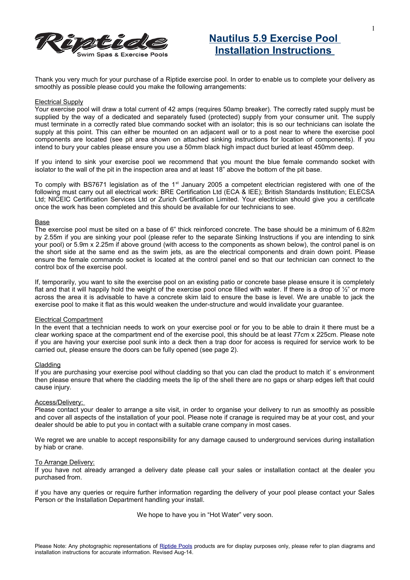

## **Nautilus 5.9 Exercise Pool Installation Instructions**

Thank you very much for your purchase of a Riptide exercise pool. In order to enable us to complete your delivery as smoothly as possible please could you make the following arrangements:

#### Electrical Supply

Your exercise pool will draw a total current of 42 amps (requires 50amp breaker). The correctly rated supply must be supplied by the way of a dedicated and separately fused (protected) supply from your consumer unit. The supply must terminate in a correctly rated blue commando socket with an isolator; this is so our technicians can isolate the supply at this point. This can either be mounted on an adjacent wall or to a post near to where the exercise pool components are located (see pit area shown on attached sinking instructions for location of components). If you intend to bury your cables please ensure you use a 50mm black high impact duct buried at least 450mm deep.

If you intend to sink your exercise pool we recommend that you mount the blue female commando socket with isolator to the wall of the pit in the inspection area and at least 18" above the bottom of the pit base.

To comply with BS7671 legislation as of the 1<sup>st</sup> January 2005 a competent electrician registered with one of the following must carry out all electrical work: BRE Certification Ltd (ECA & IEE); British Standards Institution; ELECSA Ltd; NICEIC Certification Services Ltd or Zurich Certification Limited. Your electrician should give you a certificate once the work has been completed and this should be available for our technicians to see.

#### Base

The exercise pool must be sited on a base of 6" thick reinforced concrete. The base should be a minimum of 6.82m by 2.55m if you are sinking your pool (please refer to the separate Sinking Instructions if you are intending to sink your pool) or 5.9m x 2.25m if above ground (with access to the components as shown below), the control panel is on the short side at the same end as the swim jets, as are the electrical components and drain down point. Please ensure the female commando socket is located at the control panel end so that our technician can connect to the control box of the exercise pool.

If, temporarily, you want to site the exercise pool on an existing patio or concrete base please ensure it is completely flat and that it will happily hold the weight of the exercise pool once filled with water. If there is a drop of  $\frac{1}{2}$ " or more across the area it is advisable to have a concrete skim laid to ensure the base is level. We are unable to jack the exercise pool to make it flat as this would weaken the under-structure and would invalidate your guarantee.

#### Electrical Compartment

In the event that a technician needs to work on your exercise pool or for you to be able to drain it there must be a clear working space at the compartment end of the exercise pool, this should be at least 77cm x 225cm. Please note if you are having your exercise pool sunk into a deck then a trap door for access is required for service work to be carried out, please ensure the doors can be fully opened (see page 2).

#### Cladding

If you are purchasing your exercise pool without cladding so that you can clad the product to match it' s environment then please ensure that where the cladding meets the lip of the shell there are no gaps or sharp edges left that could cause injury.

#### Access/Delivery:

Please contact your dealer to arrange a site visit, in order to organise your delivery to run as smoothly as possible and cover all aspects of the installation of your pool. Please note if cranage is required may be at your cost, and your dealer should be able to put you in contact with a suitable crane company in most cases.

We regret we are unable to accept responsibility for any damage caused to underground services during installation by hiab or crane.

#### To Arrange Delivery:

If you have not already arranged a delivery date please call your sales or installation contact at the dealer you purchased from.

if you have any queries or require further information regarding the delivery of your pool please contact your Sales Person or the Installation Department handling your install.

We hope to have you in "Hot Water" very soon.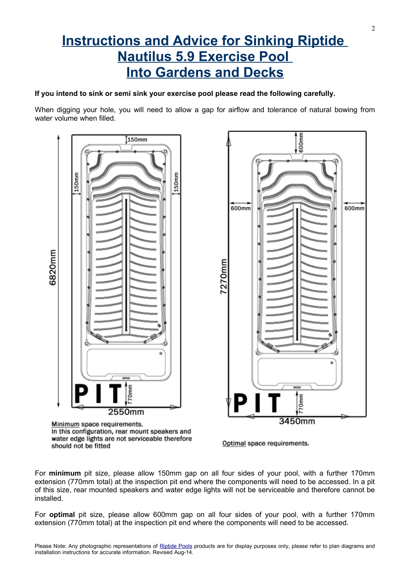# **Instructions and Advice for Sinking Riptide Nautilus 5.9 Exercise Pool Into Gardens and Decks**

### **If you intend to sink or semi sink your exercise pool please read the following carefully.**

When digging your hole, you will need to allow a gap for airflow and tolerance of natural bowing from water volume when filled.



Minimum space requirements. In this configuration, rear mount speakers and water edge lights are not serviceable therefore should not be fitted



Optimal space requirements.

For **minimum** pit size, please allow 150mm gap on all four sides of your pool, with a further 170mm extension (770mm total) at the inspection pit end where the components will need to be accessed. In a pit of this size, rear mounted speakers and water edge lights will not be serviceable and therefore cannot be installed.

For **optimal** pit size, please allow 600mm gap on all four sides of your pool, with a further 170mm extension (770mm total) at the inspection pit end where the components will need to be accessed.

2

Please Note: Any photographic representations of [Riptide Pools](http://www.riptidepools.co/) products are for display purposes only, please refer to plan diagrams and installation instructions for accurate information. Revised Aug-14.